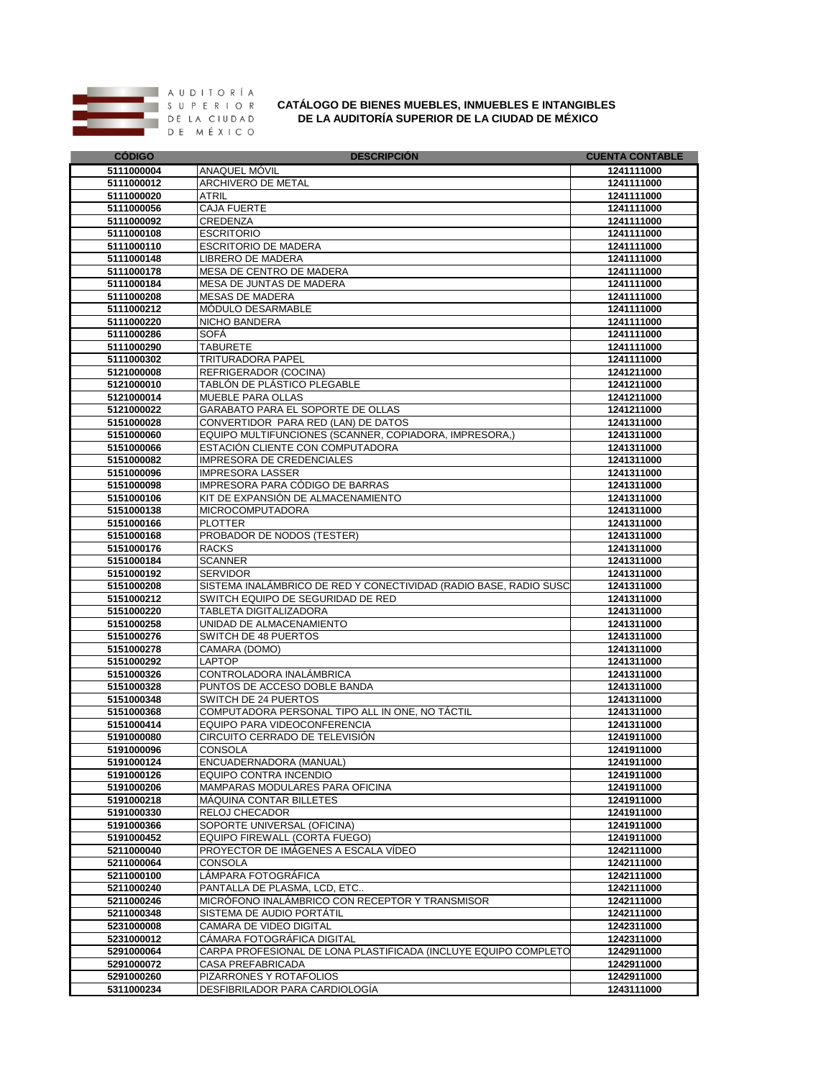

## **CATÁLOGO DE BIENES MUEBLES, INMUEBLES E INTANGIBLES**

**DE LA AUDITORÍA SUPERIOR DE LA CIUDAD DE MÉXICO**

| <b>CODIGO</b>            | <b>DESCRIPCION</b>                                                | <b>CUENTA CONTABLE</b>   |
|--------------------------|-------------------------------------------------------------------|--------------------------|
| 5111000004               | ANAQUEL MOVIL                                                     | 1241111000               |
| 5111000012               | ARCHIVERO DE METAL                                                | 1241111000               |
| 5111000020               | <b>ATRIL</b>                                                      | 1241111000               |
| 5111000056               | <b>CAJA FUERTE</b>                                                | 1241111000               |
| 5111000092               | CREDENZA                                                          | 1241111000               |
| 5111000108               | <b>ESCRITORIO</b>                                                 | 1241111000               |
| 5111000110               | <b>ESCRITORIO DE MADERA</b>                                       | 1241111000               |
| 5111000148               | <b>LIBRERO DE MADERA</b>                                          | 1241111000               |
| 5111000178               | MESA DE CENTRO DE MADERA                                          | 1241111000               |
| 5111000184               | MESA DE JUNTAS DE MADERA                                          | 1241111000               |
| 5111000208               | <b>MESAS DE MADERA</b>                                            | 1241111000               |
| 5111000212               | MODULO DESARMABLE                                                 | 1241111000               |
| 5111000220               | <b>NICHO BANDERA</b>                                              | 1241111000               |
| 5111000286               | SOFÀ                                                              | 1241111000               |
| 5111000290               | <b>TABURETE</b>                                                   | 1241111000               |
| 5111000302               | <b>TRITURADORA PAPEL</b>                                          | 1241111000               |
| 5121000008               | REFRIGERADOR (COCINA)                                             | 1241211000               |
| 5121000010               | TABLÓN DE PLÁSTICO PLEGABLE                                       | 1241211000               |
| 5121000014               | <b>MUEBLE PARA OLLAS</b>                                          | 1241211000               |
| 5121000022               | GARABATO PARA EL SOPORTE DE OLLAS                                 | 1241211000               |
| 5151000028               | CONVERTIDOR PARA RED (LAN) DE DATOS                               | 1241311000               |
| 5151000060               | EQUIPO MULTIFUNCIONES (SCANNER, COPIADORA, IMPRESORA,)            | 1241311000               |
| 5151000066               | ESTACIÓN CLIENTE CON COMPUTADORA                                  | 1241311000               |
| 5151000082               | <b>IMPRESORA DE CREDENCIALES</b>                                  | 1241311000               |
| 5151000096<br>5151000098 | <b>IMPRESORA LASSER</b><br>IMPRESORA PARA CÓDIGO DE BARRAS        | 1241311000<br>1241311000 |
| 5151000106               | KIT DE EXPANSIÓN DE ALMACENAMIENTO                                | 1241311000               |
| 5151000138               | <b>MICROCOMPUTADORA</b>                                           |                          |
| 5151000166               | <b>PLOTTER</b>                                                    | 1241311000<br>1241311000 |
| 5151000168               | PROBADOR DE NODOS (TESTER)                                        | 1241311000               |
| 5151000176               | <b>RACKS</b>                                                      | 1241311000               |
| 5151000184               | <b>SCANNER</b>                                                    | 1241311000               |
| 5151000192               | <b>SERVIDOR</b>                                                   | 1241311000               |
| 5151000208               | SISTEMA INALAMBRICO DE RED Y CONECTIVIDAD (RADIO BASE, RADIO SUSC | 1241311000               |
| 5151000212               | SWITCH EQUIPO DE SEGURIDAD DE RED                                 | 1241311000               |
| 5151000220               | <b>TABLETA DIGITALIZADORA</b>                                     | 1241311000               |
| 5151000258               | UNIDAD DE ALMACENAMIENTO                                          | 1241311000               |
| 5151000276               | SWITCH DE 48 PUERTOS                                              | 1241311000               |
| 5151000278               | CAMARA (DOMO)                                                     | 1241311000               |
| 5151000292               | <b>LAPTOP</b>                                                     | 1241311000               |
| 5151000326               | CONTROLADORA INALAMBRICA                                          | 1241311000               |
| 5151000328               | PUNTOS DE ACCESO DOBLE BANDA                                      | 1241311000               |
| 5151000348               | SWITCH DE 24 PUERTOS                                              | 1241311000               |
| 5151000368               | COMPUTADORA PERSONAL TIPO ALL IN ONE, NO TÁCTIL                   | 1241311000               |
| 5151000414               | EQUIPO PARA VIDEOCONFERENCIA                                      | 1241311000               |
| 5191000080               | CIRCUITO CERRADO DE TELEVISIÓN                                    | 1241911000               |
| 5191000096               | <b>CONSOLA</b>                                                    | 1241911000               |
| 5191000124               | ENCUADERNADORA (MANUAL)                                           | 1241911000               |
| 5191000126               | EQUIPO CONTRA INCENDIO                                            | 1241911000               |
| 5191000206               | MAMPARAS MODULARES PARA OFICINA                                   | 1241911000               |
| 5191000218               | MAQUINA CONTAR BILLETES                                           | 1241911000               |
| 5191000330               | RELOJ CHECADOR                                                    | 1241911000               |
| 5191000366               | SOPORTE UNIVERSAL (OFICINA)                                       | 1241911000               |
| 5191000452               | EQUIPO FIREWALL (CORTA FUEGO)                                     | 1241911000               |
| 5211000040               | PROYECTOR DE IMÁGENES A ESCALA VÍDEO                              | 1242111000               |
| 5211000064               | <b>CONSOLA</b>                                                    | 1242111000               |
| 5211000100               | LÁMPARA FOTOGRÁFICA                                               | 1242111000               |
| 5211000240               | PANTALLA DE PLASMA, LCD, ETC                                      | 1242111000               |
| 5211000246               | MICRÓFONO INALÁMBRICO CON RECEPTOR Y TRANSMISOR                   | 1242111000               |
| 5211000348               | SISTEMA DE AUDIO PORTÁTIL                                         | 1242111000               |
| 5231000008               | CAMARA DE VIDEO DIGITAL                                           | 1242311000               |
| 5231000012               | CÁMARA FOTOGRÁFICA DIGITAL                                        | 1242311000               |
| 5291000064               | CARPA PROFESIONAL DE LONA PLASTIFICADA (INCLUYE EQUIPO COMPLETO   | 1242911000               |
| 5291000072               | <b>CASA PREFABRICADA</b>                                          | 1242911000               |
| 5291000260               | PIZARRONES Y ROTAFOLIOS                                           | 1242911000               |
| 5311000234               | DESFIBRILADOR PARA CARDIOLOGÍA                                    | 1243111000               |